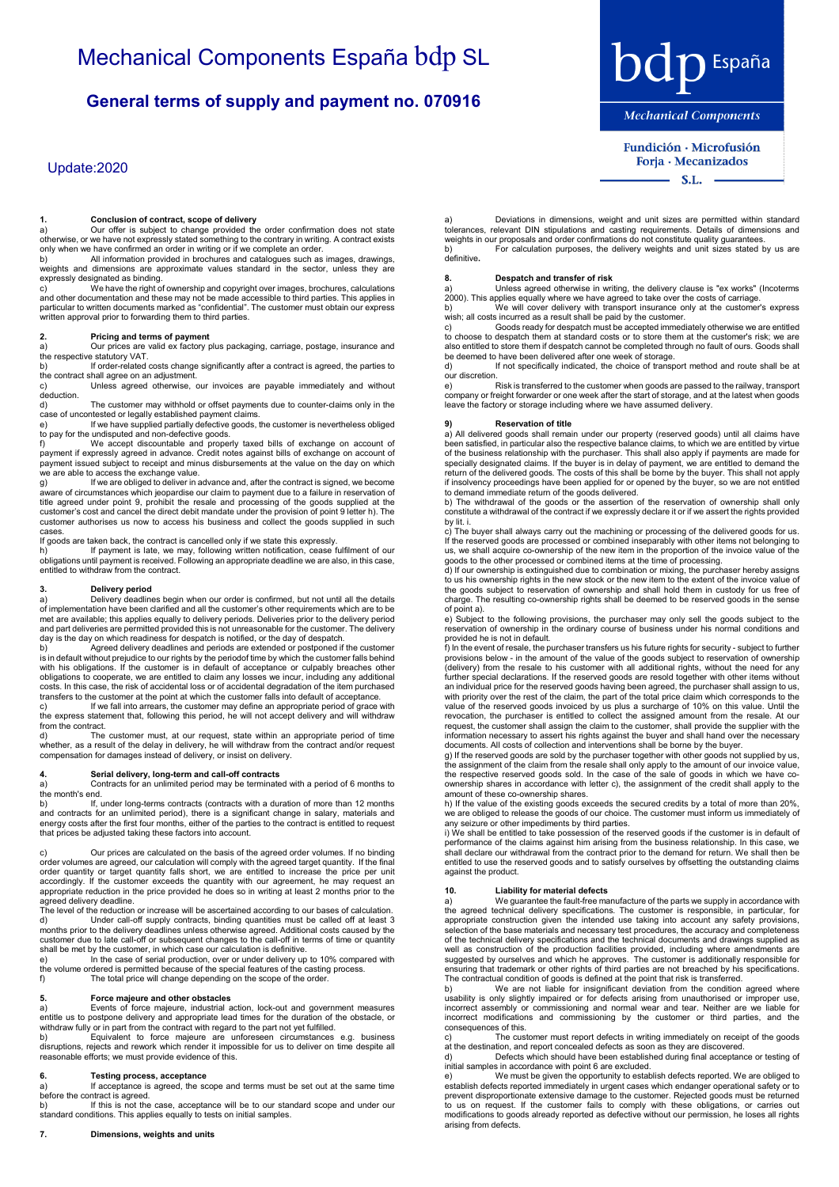## **General terms of supply and payment no. 070916**

## Update:2020

**1. Conclusion of contract, scope of delivery** a) Our offer is subject to change provided the order confirmation does not state otherwise, or we have not expressly stated something to the contrary in writing. A contract exists only when we have confirmed an order in writing or if we complete an order.

b) All information provided in brochures and catalogues such as images, drawings, weights and dimensions are approximate values standard in the sector, unless they are

expressly designated as binding.<br>c) We have the right of ownership and copyright over images, brochures, calculations<br>and other documentation and these may not be made accessible to third parties. This applies in<br>particula

### **2. Pricing and terms of payment**

a) Our prices are valid ex factory plus packaging, carriage, postage, insurance and the respective statutory VAT.

b) If order-related costs change significantly after a contract is agreed, the parties to the contract shall agree on an adjustment.

Unless agreed otherwise, our invoices are payable immediately and without c)<br>deduction.<br>d)

The customer may withhold or offset payments due to counter-claims only in the

case of uncontested or legally established payment claims. e) If we have supplied partially defective goods, the customer is nevertheless obliged

to pay for the undisputed and non-defective goods.<br>f) We accept discountable and properly taxed bills of exchange on account of<br>payment if expressly agreed in advance. Credit notes against bills of exchange on account o we are able to access the exchange value.<br>g) lf we are obliged to deliver in a

If we are obliged to deliver in advance and, after the contract is signed, we become aware of circumstances which jeopardise our claim to payment due to a failure in reservation of<br>title agreed under point 9, prohibit the resale and processing of the goods supplied at the<br>customer's cost and cancel the dir

cases.<br>If goods are taken back, the contract is cancelled only if we state this expressly.<br>h) If payment is late, we may, following written notification, cease fulfilment of our<br>obligations until payment is received. F

### **3. Delivery period**

a) Delivery deadlines begin when our order is confirmed, but not until all the details<br>of implementation have been clarified and all the customer's other requirements which are to be<br>met are available; this applies equally

day is the day on which readiness for despatch is notified, or the day of despatch.<br>b) Agreed delivery deadlines and periods are extended or postponed if the customer<br>is in default without prejudice to our rights by th with his obligations. If the customer is in default of acceptance or culpably breaches other obligations to cooperate, we are entitled to claim any losses we incur, including any additional costs. In this case, the risk of accidental loss or of accidental degradation of the item purchased transfers to the customer at the point at which the customer falls into default of acceptance.

c) If we fall into arrears, the customer may define an appropriate period of grace with<br>the express statement that, following this period, he will not accept delivery and will withdraw from the contract.<br>d) The

The customer must, at our request, state within an appropriate period of time whether, as a result of the delay in delivery, he will withdraw from the contract and/or request compensation for damages instead of delivery, or insist on delivery.

## **4. Serial delivery, long-term and call-off contracts**

Contracts for an unlimited period may be terminated with a period of 6 months to

the month's end. b) If, under long-terms contracts (contracts with a duration of more than 12 months and contracts for an unlimited period), there is a significant change in salary, materials and energy costs after the first four months, either of the parties to the contract is entitled to request that prices be adjusted taking these factors into account.

c) Our prices are calculated on the basis of the agreed order volumes. If no binding order volumes are agreed, our calculation will comply with the agreed target quantity. If the final order quantity or target quantity falls short, we are entitled to increase the price per unit<br>accordingly. If the customer exceeds the quantity with our agreement, he may request an<br>appropriate reduction in the price provi agreed delivery deadline.

The level of the reduction or increase will be ascertained according to our bases of calculation. d) Under call-off supply contracts, binding quantities must be called off at least 3 months prior to the delivery deadlines unless otherwise agreed. Additional costs caused by the customer due to late call-off or subsequen

e) In the case of serial production, over or under delivery up to 10% compared with the volume ordered is permitted because of the special features of the casting process.<br>f) The total price will change depending on the scope of the order. The total price will change depending on the scope of the order

5. Force majeure and other obstacles<br>and action, lock-out and government measures<br>antitle us to postpone delivery and appropriate lead times for the duration of the obstacle, or<br>withdraw fully or in part from the contract

### **6. Testing process, acceptance**

a) If acceptance is agreed, the scope and terms must be set out at the same time before the contract is agreed.

b) If this is not the case, acceptance will be to our standard scope and under our standard conditions. This applies equally to tests on initial samples.

**bdp** España **Mechanical Components** 

Fundición · Microfusión Forja · Mecanizados  $-S.L.$ 

a) Deviations in dimensions, weight and unit sizes are permitted within standard tolerances, relevant DIN stipulations and casting requirements. Details of dimensions and weights in our proposals and order confirmations do not constitute quality guarantees.<br>b) For calculation purposes, the delivery weights and unit sizes stated b For calculation purposes, the delivery weights and unit sizes stated by us are

definitive**.**

### **8. Despatch and transfer of risk**

Unless agreed otherwise in writing, the delivery clause is "ex works" (Incoterms 2000). This applies equally where we have agreed to take over the costs of carriage.<br>b)<br>wish; all costs incurred as a result shall be paid by the customer only at the customer's express.

c) Goods ready for despatch must be accepted immediately otherwise we are entitled to choose to despatch them at standard costs or to store them at the customer's risk; we are also entitled to store them if despatch cannot be completed through no fault of ours. Goods shall be deemed to have been delivered after one week of storage.

d) If not specifically indicated, the choice of transport method and route shall be at our discretion.

e) Risk is transferred to the customer when goods are passed to the railway, transport<br>company or freight forwarder or one week after the start of storage, and at the latest when goods<br>leave the factory or storage inc

**9)**<br>a) All delivered goods shall remain under our property (reserved goods) until all claims have<br>been satisfied, in particular also the respective balance claims, to which we are entitled by virtue of the business relationship with the purchaser. This shall also apply if payments are made for<br>specially designated claims. If the buyer is in delay of payment, we are entitled to demand the<br>return of the delivered goods. if insolvency proceedings have been applied for or opened by the buyer, so we are not entitled

to demand immediate return of the goods delivered. b) The withdrawal of the goods or the assertion of the reservation of ownership shall only constitute a withdrawal of the contract if we expressly declare it or if we assert the rights provided by lit. i.

c) The buyer shall always carry out the machining or processing of the delivered goods for us.<br>If the reserved goods are processed or combined inseparably with other items not belonging to<br>us, we shall acquire co-ownership

goods to the other processed or combined items at the time of processing. d) If our ownership is extinguished due to combination or mixing, the purchaser hereby assigns to us his ownership rights in the new stock or the new item to the extent of the invoice value of<br>the goods subject to reservation of ownership and shall hold them in custody for us free of<br>charge. The resulting co-ownersh of point a).

e) Subject to the following provisions, the purchaser may only sell the goods subject to the reservation of ownership in the ordinary course of business under his normal conditions and provided he is not in default.

f) In the event of resale, the purchaser transfers us his future rights for security - subject to further provisions below - in the amount of the value of the godes subject to reservation of ownership (delivery) from the r value of the reserved goods invoiced by us plus a surcharge of 10% on this value. Until the revocation, the purchaser is entitled to collect the assigned amount from the resale. At our request, the customer shall assign the claim to the customer, shall provide the supplier with the<br>information necessary to assert his rights against the buyer and shall hand over the necessary<br>documents. All costs of colle

g) If the reserved goods are sold by the purchaser together with other goods not supplied by us, the assignment of the claim from the resale shall only apply to the amount of our invoice value, the respective reserved goods sold. In the case of the sale of goods in which we have co-ownership shares in accordance with letter c), the assignment of the credit shall apply to the

amount of these co-ownership shares. h) If the value of the existing goods exceeds the secured credits by a total of more than 20%, we are obliged to release the goods of our choice. The customer must inform us immediately of any seizure or other impediments by third parties.

i) We shall be entitled to take possession of the reserved goods if the customer is in default of<br>performance of the claims against him arising from the business relationship. In this case, we<br>shall declare our withdrawal entitled to use the reserved goods and to satisfy ourselves by offsetting the outstanding claims against the product.

### **10. Liability for material defects**

arising from defects.

We guarantee the fault-free manufacture of the parts we supply in accordance with the agreed technical delivery specifications. The customer is responsible, in particular, for appropriate construction given the intended use taking into account any safety provisions, selection of the base materials and n

ensuring that trademark or other rights of third parties are not breached by his specifications.<br>The contractual condition of goods is defined at the point that risk is transferred.<br>b) We are not liable for insignificant d incorrect assembly or commissioning and normal wear and tear. Neither are we liable for incorrect modifications and commissioning by the customer or third parties, and the consequences of this.<br>c) The cust

The customer must report defects in writing immediately on receipt of the goods at the destination, and report concealed defects as soon as they are discovered. d) Defects which should have been established during final acceptance or testing of

initial samples in accordance with point 6 are excluded. e) We must be given the opportunity to establish defects reported. We are obliged to establish defects reported immediately in urgent cases which endanger operational safety or to prevent disproportionate extensive damage to the customer. Rejected goods must be returned to us on request. If the customer fails to comply with these obligations, or carries out modifications to goods already reported as defective without our permission, he loses all rights